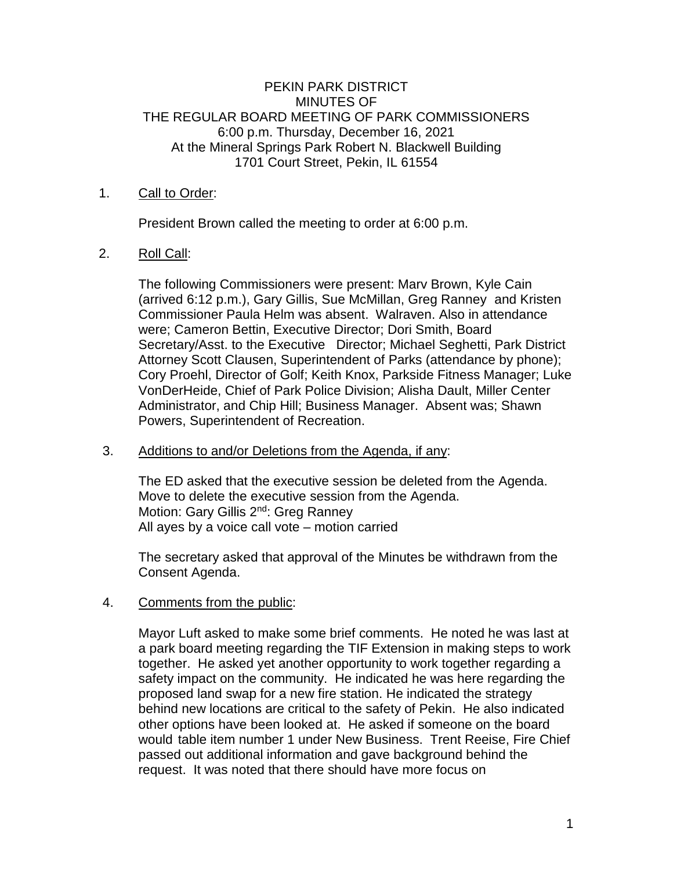### PEKIN PARK DISTRICT MINUTES OF THE REGULAR BOARD MEETING OF PARK COMMISSIONERS 6:00 p.m. Thursday, December 16, 2021 At the Mineral Springs Park Robert N. Blackwell Building 1701 Court Street, Pekin, IL 61554

## 1. Call to Order:

President Brown called the meeting to order at 6:00 p.m.

# 2. Roll Call:

The following Commissioners were present: Marv Brown, Kyle Cain (arrived 6:12 p.m.), Gary Gillis, Sue McMillan, Greg Ranney and Kristen Commissioner Paula Helm was absent. Walraven. Also in attendance were; Cameron Bettin, Executive Director; Dori Smith, Board Secretary/Asst. to the Executive Director; Michael Seghetti, Park District Attorney Scott Clausen, Superintendent of Parks (attendance by phone); Cory Proehl, Director of Golf; Keith Knox, Parkside Fitness Manager; Luke VonDerHeide, Chief of Park Police Division; Alisha Dault, Miller Center Administrator, and Chip Hill; Business Manager. Absent was; Shawn Powers, Superintendent of Recreation.

### 3. Additions to and/or Deletions from the Agenda, if any:

The ED asked that the executive session be deleted from the Agenda. Move to delete the executive session from the Agenda. Motion: Gary Gillis 2<sup>nd</sup>: Greg Ranney All ayes by a voice call vote – motion carried

The secretary asked that approval of the Minutes be withdrawn from the Consent Agenda.

### 4. Comments from the public:

Mayor Luft asked to make some brief comments. He noted he was last at a park board meeting regarding the TIF Extension in making steps to work together. He asked yet another opportunity to work together regarding a safety impact on the community. He indicated he was here regarding the proposed land swap for a new fire station. He indicated the strategy behind new locations are critical to the safety of Pekin. He also indicated other options have been looked at. He asked if someone on the board would table item number 1 under New Business. Trent Reeise, Fire Chief passed out additional information and gave background behind the request. It was noted that there should have more focus on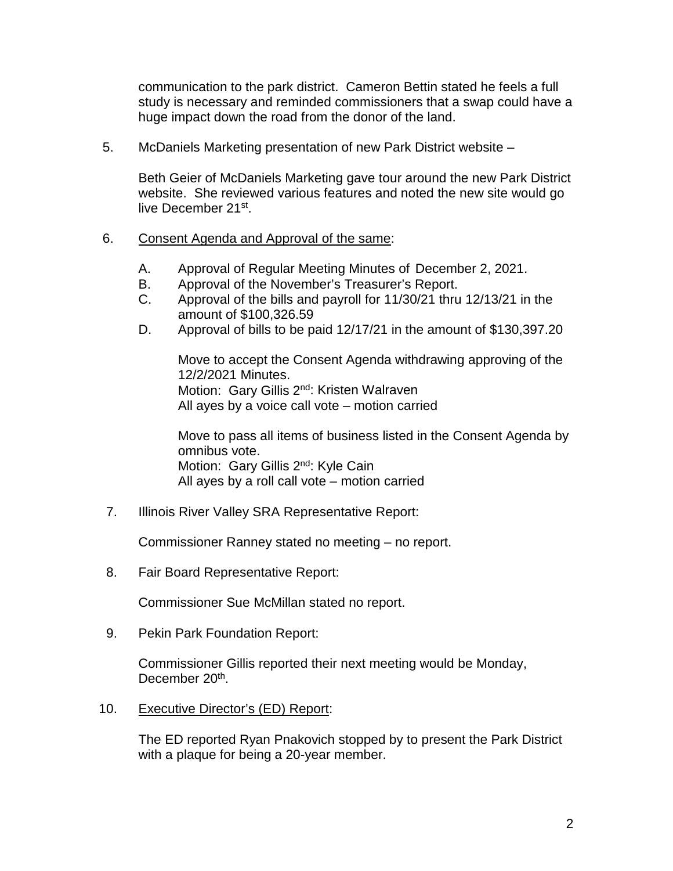communication to the park district. Cameron Bettin stated he feels a full study is necessary and reminded commissioners that a swap could have a huge impact down the road from the donor of the land.

5. McDaniels Marketing presentation of new Park District website –

Beth Geier of McDaniels Marketing gave tour around the new Park District website. She reviewed various features and noted the new site would go live December 21st.

- 6. Consent Agenda and Approval of the same:
	- A. Approval of Regular Meeting Minutes of December 2, 2021.
	- B. Approval of the November's Treasurer's Report.
	- C. Approval of the bills and payroll for 11/30/21 thru 12/13/21 in the amount of \$100,326.59
	- D. Approval of bills to be paid 12/17/21 in the amount of \$130,397.20

Move to accept the Consent Agenda withdrawing approving of the 12/2/2021 Minutes. Motion: Gary Gillis 2<sup>nd</sup>: Kristen Walraven All ayes by a voice call vote – motion carried

Move to pass all items of business listed in the Consent Agenda by omnibus vote. Motion: Gary Gillis 2<sup>nd</sup>: Kyle Cain All ayes by a roll call vote – motion carried

7. Illinois River Valley SRA Representative Report:

Commissioner Ranney stated no meeting – no report.

8. Fair Board Representative Report:

Commissioner Sue McMillan stated no report.

9. Pekin Park Foundation Report:

Commissioner Gillis reported their next meeting would be Monday, December 20<sup>th</sup>.

10. Executive Director's (ED) Report:

The ED reported Ryan Pnakovich stopped by to present the Park District with a plaque for being a 20-year member.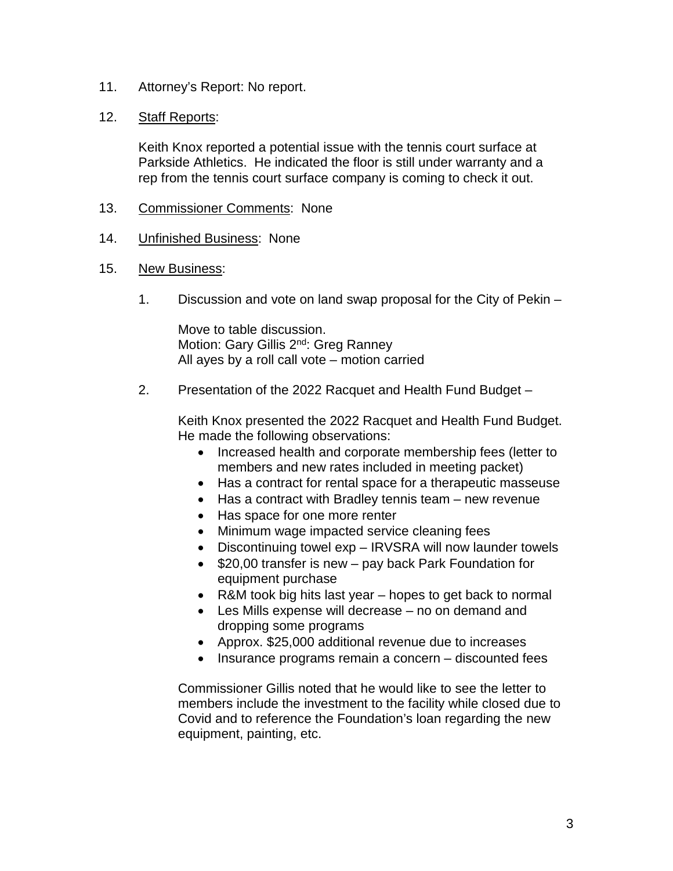11. Attorney's Report: No report.

#### 12. Staff Reports:

Keith Knox reported a potential issue with the tennis court surface at Parkside Athletics. He indicated the floor is still under warranty and a rep from the tennis court surface company is coming to check it out.

- 13. Commissioner Comments: None
- 14. Unfinished Business: None

#### 15. New Business:

1. Discussion and vote on land swap proposal for the City of Pekin –

Move to table discussion. Motion: Gary Gillis 2<sup>nd</sup>: Greg Ranney All ayes by a roll call vote – motion carried

2. Presentation of the 2022 Racquet and Health Fund Budget –

Keith Knox presented the 2022 Racquet and Health Fund Budget. He made the following observations:

- Increased health and corporate membership fees (letter to members and new rates included in meeting packet)
- Has a contract for rental space for a therapeutic masseuse
- Has a contract with Bradley tennis team new revenue
- Has space for one more renter
- Minimum wage impacted service cleaning fees
- Discontinuing towel exp IRVSRA will now launder towels
- \$20,00 transfer is new pay back Park Foundation for equipment purchase
- R&M took big hits last year hopes to get back to normal
- Les Mills expense will decrease no on demand and dropping some programs
- Approx. \$25,000 additional revenue due to increases
- Insurance programs remain a concern discounted fees

Commissioner Gillis noted that he would like to see the letter to members include the investment to the facility while closed due to Covid and to reference the Foundation's loan regarding the new equipment, painting, etc.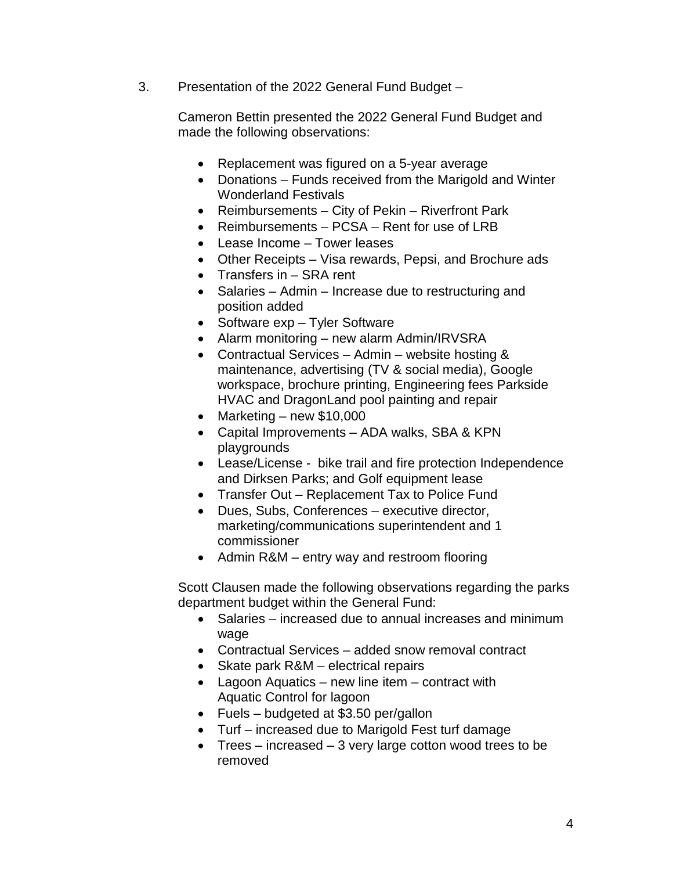3. Presentation of the 2022 General Fund Budget –

Cameron Bettin presented the 2022 General Fund Budget and made the following observations:

- Replacement was figured on a 5-year average
- Donations Funds received from the Marigold and Winter Wonderland Festivals
- Reimbursements City of Pekin Riverfront Park
- Reimbursements PCSA Rent for use of LRB
- Lease Income Tower leases
- Other Receipts Visa rewards, Pepsi, and Brochure ads
- Transfers in SRA rent
- Salaries Admin Increase due to restructuring and position added
- Software exp Tyler Software
- Alarm monitoring new alarm Admin/IRVSRA
- Contractual Services Admin website hosting & maintenance, advertising (TV & social media), Google workspace, brochure printing, Engineering fees Parkside HVAC and DragonLand pool painting and repair
- Marketing new \$10,000
- Capital Improvements ADA walks, SBA & KPN playgrounds
- Lease/License bike trail and fire protection Independence and Dirksen Parks; and Golf equipment lease
- Transfer Out Replacement Tax to Police Fund
- Dues, Subs, Conferences executive director, marketing/communications superintendent and 1 commissioner
- Admin R&M entry way and restroom flooring

Scott Clausen made the following observations regarding the parks department budget within the General Fund:

- Salaries increased due to annual increases and minimum wage
- Contractual Services added snow removal contract
- Skate park R&M electrical repairs
- Lagoon Aquatics new line item contract with Aquatic Control for lagoon
- Fuels budgeted at \$3.50 per/gallon
- Turf increased due to Marigold Fest turf damage
- Trees increased 3 very large cotton wood trees to be removed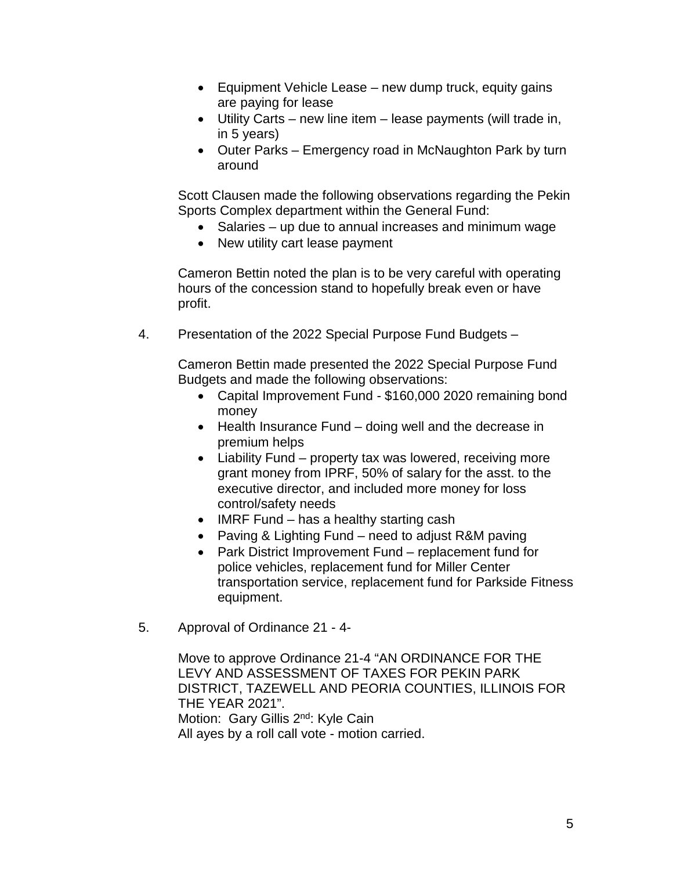- Equipment Vehicle Lease new dump truck, equity gains are paying for lease
- Utility Carts new line item lease payments (will trade in, in 5 years)
- Outer Parks Emergency road in McNaughton Park by turn around

Scott Clausen made the following observations regarding the Pekin Sports Complex department within the General Fund:

- Salaries up due to annual increases and minimum wage
- New utility cart lease payment

Cameron Bettin noted the plan is to be very careful with operating hours of the concession stand to hopefully break even or have profit.

4. Presentation of the 2022 Special Purpose Fund Budgets –

Cameron Bettin made presented the 2022 Special Purpose Fund Budgets and made the following observations:

- Capital Improvement Fund \$160,000 2020 remaining bond money
- Health Insurance Fund doing well and the decrease in premium helps
- Liability Fund property tax was lowered, receiving more grant money from IPRF, 50% of salary for the asst. to the executive director, and included more money for loss control/safety needs
- IMRF Fund has a healthy starting cash
- Paving & Lighting Fund need to adjust R&M paving
- Park District Improvement Fund replacement fund for police vehicles, replacement fund for Miller Center transportation service, replacement fund for Parkside Fitness equipment.
- 5. Approval of Ordinance 21 4-

Move to approve Ordinance 21-4 "AN ORDINANCE FOR THE LEVY AND ASSESSMENT OF TAXES FOR PEKIN PARK DISTRICT, TAZEWELL AND PEORIA COUNTIES, ILLINOIS FOR THE YEAR 2021". Motion: Gary Gillis 2<sup>nd</sup>: Kyle Cain All ayes by a roll call vote - motion carried.